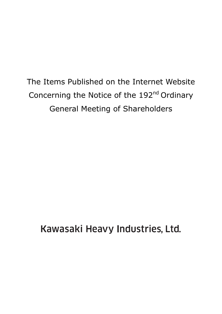The Items Published on the Internet Website Concerning the Notice of the 192<sup>nd</sup> Ordinary General Meeting of Shareholders

Kawasaki Heavy Industries, Ltd.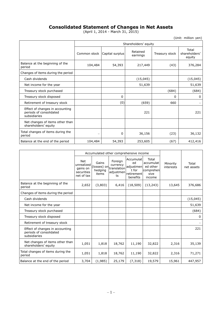# **Consolidated Statement of Changes in Net Assets**

(April 1, 2014 - March 31, 2015)

(Unit: million yen)

|                                                                            | Shareholders' equity         |        |                      |                |                                  |  |  |
|----------------------------------------------------------------------------|------------------------------|--------|----------------------|----------------|----------------------------------|--|--|
|                                                                            | Common stock Capital surplus |        | Retained<br>earnings | Treasury stock | Total<br>shareholders'<br>equity |  |  |
| Balance at the beginning of the<br>period                                  | 104,484                      | 54,393 | 217,449              | (43)           | 376,284                          |  |  |
| Changes of items during the period                                         |                              |        |                      |                |                                  |  |  |
| Cash dividends                                                             |                              |        | (15,045)             |                | (15, 045)                        |  |  |
| Net income for the year                                                    |                              |        | 51,639               |                | 51,639                           |  |  |
| Treasury stock purchased                                                   |                              |        |                      | (684)          | (684)                            |  |  |
| Treasury stock disposed                                                    |                              | 0      |                      | 0              | 0                                |  |  |
| Retirement of treasury stock                                               |                              | (0)    | (659)                | 660            |                                  |  |  |
| Effect of changes in accounting<br>periods of consolidated<br>subsidiaries |                              |        | 221                  |                | 221                              |  |  |
| Net changes of items other than<br>shareholders' equity                    |                              |        |                      |                |                                  |  |  |
| Total changes of items during the<br>period                                | —                            | 0      | 36,156               | (23)           | 36,132                           |  |  |
| Balance at the end of the period                                           | 104,484                      | 54,393 | 253,605              | (67)           | 412,416                          |  |  |

|                                                                            |                                                           | Accumulated other comprehensive income   |                                                       |                                                                 |                                                               |                       |                     |
|----------------------------------------------------------------------------|-----------------------------------------------------------|------------------------------------------|-------------------------------------------------------|-----------------------------------------------------------------|---------------------------------------------------------------|-----------------------|---------------------|
|                                                                            | Net<br>unrealized<br>gains on<br>securities<br>net of tax | Gains<br>(losses) on<br>hedging<br>items | Foreign<br>currency<br>translation<br>adjustmen<br>ts | Accumulat<br>ed<br>adjustmen<br>t for<br>retirement<br>benefits | Total<br>accumulat<br>ed other<br>comprehen<br>sive<br>income | Minority<br>interests | Total<br>net assets |
| Balance at the beginning of the<br>period                                  | 2,652                                                     | (3,803)                                  | 6,416                                                 | (18, 509)                                                       | (13, 243)                                                     | 13,645                | 376,686             |
| Changes of items during the period                                         |                                                           |                                          |                                                       |                                                                 |                                                               |                       |                     |
| Cash dividends                                                             |                                                           |                                          |                                                       |                                                                 |                                                               |                       | (15, 045)           |
| Net income for the year                                                    |                                                           |                                          |                                                       |                                                                 |                                                               |                       | 51,639              |
| Treasury stock purchased                                                   |                                                           |                                          |                                                       |                                                                 |                                                               |                       | (684)               |
| Treasury stock disposed                                                    |                                                           |                                          |                                                       |                                                                 |                                                               |                       | 0                   |
| Retirement of treasury stock                                               |                                                           |                                          |                                                       |                                                                 |                                                               |                       |                     |
| Effect of changes in accounting<br>periods of consolidated<br>subsidiaries |                                                           |                                          |                                                       |                                                                 |                                                               |                       | 221                 |
| Net changes of items other than<br>shareholders' equity                    | 1,051                                                     | 1,818                                    | 18,762                                                | 11,190                                                          | 32,822                                                        | 2,316                 | 35,139              |
| Total changes of items during the<br>period                                | 1,051                                                     | 1,818                                    | 18,762                                                | 11,190                                                          | 32,822                                                        | 2,316                 | 71,271              |
| Balance at the end of the period                                           | 3,704                                                     | (1,985)                                  | 25,179                                                | (7, 318)                                                        | 19,579                                                        | 15,961                | 447,957             |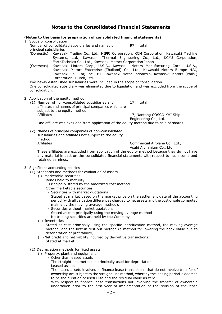# **Notes to the Consolidated Financial Statements**

### **(Notes to the basis for preparation of consolidated financial statements)**

1. Scope of consolidation Number of consolidated subsidiaries and names of principal subsidiaries 97 in total (Domestic) Kawasaki Trading Co., Ltd., NIPPI Corporation, KCM Corporation, Kawasaki Machine Systems, Ltd., Kawasaki Thermal Engineering Co., Ltd., KCMJ Corporation, EarthTechnica Co., Ltd., Kawasaki Motors Corporation Japan

(Overseas) Kawasaki Motors Corp., U.S.A., Kawasaki Motors Manufacturing Corp., U.S.A., Kawasaki Motors Enterprise (Thailand) Co., Ltd., Kawasaki Motors Europe N.V., Kawasaki Rail Car, Inc., P.T. Kawasaki Motor Indonesia, Kawasaki Motors (Phils.) Corporation, Flutek, Ltd.

Two newly established subsidiaries were included in the scope of consolidation. One consolidated subsidiary was eliminated due to liquidation and was excluded from the scope of consolidation.

- 2. Application of the equity method
	- (1) Number of non-consolidated subsidiaries and affiliates and names of principal companies which are subject to the equity method 17 in total Affiliates **17, Nantong COSCO KHI Ship** Engineering Co., Ltd.

One affiliate was excluded from application of the equity method due to sale of shares.

(2) Names of principal companies of non-consolidated subsidiaries and affiliates not subject to the equity method Affiliates **Commercial Airplane Co., Ltd.,** 

Asahi Aluminium Co., Ltd.

These affiliates are excluded from application of the equity method because they do not have any material impact on the consolidated financial statements with respect to net income and retained earnings.

#### 3. Significant accounting policies

- (1) Standards and methods for evaluation of assets
	- (i) Marketable securities
		- Bonds held to maturity

Principally stated by the amortized cost method

- Other marketable securities
- Securities with market quotations

Stated at market based on the market price on the settlement date of the accounting period (with all valuation differences charged to net assets and the cost of sale computed mainly by the moving average method).

- Securities without market quotations Stated at cost principally using the moving average method No trading securities are held by the Company.
- (ii) Inventories

Stated at cost principally using the specific identification method, the moving-average method, and the first-in first-out method (a method for lowering the book value due to deterioration of profitability)

- (iii) Net credit and net liability incurred by derivative transactions Stated at market
- (2) Depreciation methods for fixed assets
	- (i) Property, plant and equipment
		- Other than leased assets
		- The straight line method is principally used for depreciation.
		- Leased assets

The leased assets involved in finance lease transactions that do not involve transfer of ownership are subject to the straight-line method, whereby the leasing period is deemed to be the duration of useful life and the residual value as zero.

With respect to finance lease transactions not involving the transfer of ownership undertaken prior to the first year of implementation of the revision of the lease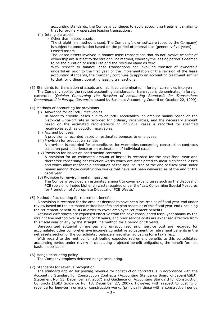accounting standards, the Company continues to apply accounting treatment similar to that for ordinary operating leasing transactions.

- (ii) Intangible assets
	- Other than leased assets

The straight line method is used. The Company's own software (used by the Company) is subject to amortization based on the period of internal use (generally five years).

- Leased assets

The leased assets involved in finance lease transactions that do not involve transfer of ownership are subject to the straight-line method, whereby the leasing period is deemed to be the duration of useful life and the residual value as zero.

With respect to finance lease transactions not involving transfer of ownership undertaken prior to the first year of the implementation of the revision of the lease accounting standards, the Company continues to apply an accounting treatment similar to that for ordinary operating leasing transactions.

- (3) Standards for translation of assets and liabilities denominated in foreign currencies into yen The Company applies the revised accounting standards for transactions denominated in foreign currencies (*Opinion Concerning the Revision of Accounting Standards for Transactions Denominated in Foreign Currencies* issued by Business Accounting Council on October 22, 1999).
- (4) Methods of accounting for provisions
	- (i) Allowance for doubtful receivables In order to provide losses due to doubtful receivables, an amount mainly based on the historical write-off rate is recorded for ordinary receivables, and the necessary amount based on the estimated recoverability of individual cases is recorded for specified receivables such as doubtful receivables.
	- (ii) Accrued bonuses
	- A provision is recorded based on estimated bonuses to employees.
	- (iii) Provision for product warranties A provision is recorded for expenditures for warranties concerning construction contracts based on past experience or on estimations of individual cases.
	- (iv) Provision for losses on construction contracts A provision for an estimated amount of losses is recorded for the next fiscal year and thereafter concerning construction works which are anticipated to incur significant losses and which allow reasonable estimation of the loss incurred at the end of fiscal year under review among those construction works that have not been delivered as of the end of the fiscal year.
	- (v) Provision for environmental measures

The Company provided an estimated amount to cover expenditures such as the disposal of PCB (poly chlorinated biphenyl) waste required under the "Law Concerning Special Measures for Promotion of Appropriate Disposal of PCB Waste."

(5) Method of accounting for retirement benefits

A provision is recorded for the amount deemed to have been incurred as of fiscal year-end under review based on the estimated retiree benefits and plan assets as of this fiscal year-end (including the retirement benefit trust) in order to cover employee retirement benefits.

Actuarial differences are expensed effective from the next consolidated fiscal year mainly by the straight line method over a period of 10 years, and prior service costs are expensed effective from this fiscal year chiefly by the straight line method for a period of 10 years.

Unrecognized actuarial differences and unrecognized prior service cost are recorded for accumulated other comprehensive income's cumulative adjustment for retirement benefits in the net assets section of the consolidated balance sheet after adjusting for a tax effect.

With regard to the method for attributing expected retirement benefits to this consolidated accounting period under review in calculating projected benefit obligations, the benefit formula basis is applicable.

#### (6) Hedge accounting policy

The Company employs deferred hedge accounting.

#### (7) Standards for revenue recognition

The standard applied for posting revenue for construction contracts is in accordance with the Accounting Standard for Construction Contracts (Accounting Standards Board of Japan(ASBJ), Statement No. 15, December 27, 2007) and Guidance on Accounting Standard for Construction Contracts (ASBJ Guidance No. 18, December 27, 2007). However, with respect to posting of revenue for long-term or major construction works (principally those with a construction period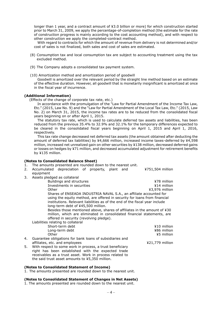longer than 1 year, and a contract amount of ¥3.0 billion or more) for which construction started prior to March 31, 2009, we apply the percentage-of-completion method (the estimate for the rate of construction progress is mainly according to the cost accounting method), and with respect to other construction we apply the completed-contract method.

With regard to contracts for which the amount of revenue from delivery is not determined and/or cost of sales is not finalized, both sales and cost of sales are estimated.

- (8) Consumption tax and local consumption tax are subject to accounting treatment using the tax excluded method.
- (9) The Company adopts a consolidated tax payment system.

(10) Amortization method and amortization period of goodwill

Goodwill is amortized over the relevant period by the straight line method based on an estimate of the effective duration. However, all goodwill that is monetarily insignificant is amortized at once in the fiscal year of incurrence.

### **(Additional Information)**

(Effects of the change of corporate tax rate, etc.)

In accordance with the promulgation of the "Law for Partial Amendment of the Income Tax Law, Etc." (2015, Law No. 9) and the "Law for Partial Amendment of the Local Tax Law, Etc." (2015, Law No. 2) on March 31, 2015, the income tax rates are to be reduced from the consolidated fiscal years beginning on or after April 1, 2015.

The statutory tax rate, which is used to calculate deferred tax assets and liabilities, has been reduced from the previous 35.4% to 32.9% and 32.1% for the temporary differences expected to be cleared in the consolidated fiscal years beginning on April 1, 2015 and April 1, 2016, respectively.

This tax rate change decreased net deferred tax assets (the amount obtained after deducting the amount of deferred tax liabilities) by ¥4,666 million, increased income taxes-deferred by ¥4,598 million, increased net unrealized gain on other securities by ¥138 million, decreased deferred gains or losses on hedges by ¥71 million, and decreased accumulated adjustment for retirement benefits by ¥135 million.

#### **(Notes to Consolidated Balance Sheet)**

1. The amounts presented are rounded down to the nearest unit.

| 2. Accumulated depreciation of property, plant and |  |  | ¥751,504 million |
|----------------------------------------------------|--|--|------------------|
| equipment                                          |  |  |                  |

3. Assets pledged as collateral

| Buildings and structures                                                    | ¥78 million    |
|-----------------------------------------------------------------------------|----------------|
| Investments in securities                                                   | ¥14 million    |
| Other                                                                       | ¥3,976 million |
| Shares of ENSEADA INDUSTRIA NAVAL S.A., an affiliate accounted for          |                |
| using the equity method, are offered in security for loans from financial   |                |
| institutions. Relevant liabilities as of the end of the fiscal year include |                |
| long-term debt of ¥45,500 million.                                          |                |
| Besides those mentioned above, shares of affiliates in the amount of ¥30    |                |
| million, which are eliminated in consolidated financial statements, are     |                |
| offered in security (revolving pledge).                                     |                |
| Liabilities relating to collateral                                          |                |

|    | Short-term debt                                           | ¥10 million       |
|----|-----------------------------------------------------------|-------------------|
|    | Long-term debt                                            | ¥86 million       |
|    | Other                                                     | ¥5 million        |
| 4. | Guarantee obligations for bank loans of subsidiaries and  |                   |
|    | affiliates, etc. and employees                            | $421,779$ million |
| 5. | With respect to some work in process, a trust beneficiary |                   |
|    | right has been established with the expected trade        |                   |
|    | receivables as a trust asset. Work in process related to  |                   |

the said trust asset amounts to ¥5,350 million.

#### **(Notes to Consolidated Statement of Income)**

1. The amounts presented are rounded down to the nearest unit.

#### **(Notes to Consolidated Statement of Changes in Net Assets)**

1. The amounts presented are rounded down to the nearest unit.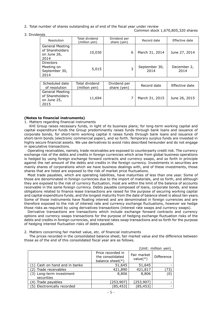2. Total number of shares outstanding as of end of the fiscal year under review Common stock 1,670,805,320 shares

#### 3. Dividends

| Resolution                                                       | Total dividend<br>(million yen) | Dividend per<br>share (yen) | Record date           | Effective date      |
|------------------------------------------------------------------|---------------------------------|-----------------------------|-----------------------|---------------------|
| <b>General Meeting</b><br>of Shareholders<br>on June 26,<br>2014 | 10,030                          | 6                           | March 31, 2014        | June 27, 2014       |
| <b>Directors</b><br>Meeting on<br>September 30,<br>2014          | 5,015                           | 3                           | September 30,<br>2014 | December 2,<br>2014 |

| Scheduled date<br>of resolution                                  | Total dividend<br>(million yen) | Dividend per<br>share (yen) | Record date    | Effective date |
|------------------------------------------------------------------|---------------------------------|-----------------------------|----------------|----------------|
| <b>General Meeting</b><br>of Shareholders<br>on June 25,<br>2015 | 11,694                          |                             | March 31, 2015 | June 26, 2015  |

### **(Notes to financial instruments)**

#### 1. Matters regarding financial instruments

KHI Group raises necessary funds, in light of its business plans; for long-term working capital and capital expenditure funds the Group predominantly raises funds through bank loans and issuance of corporate bonds, for short-term working capital it raises funds through bank loans and issuance of short-term bonds (electronic commercial paper), and so forth. Temporary surplus funds are invested in highly secure financial assets. We use derivatives to avoid risks described hereunder and do not engage in speculative transactions.

Operating receivables, namely, trade receivables are exposed to counterparty credit risk. The currency exchange risk of the debts and credits in foreign currencies which arise from global business operations is hedged by using foreign exchange forward contracts and currency swaps, and so forth in principle against the net amount of the debts and credits in the foreign currency. Investments in securities are mainly shares of corporations which we have business dealings with, and of these investments, those shares that are listed are exposed to the risk of market price fluctuations.

Most trade payables, which are operating liabilities, have maturities of less than one year. Some of those are denominated in foreign currencies due to the import of materials, and so forth, and although they are exposed to the risk of currency fluctuation, most are within the limit of the balance of accounts receivable in the same foreign currency. Debts payable composed of loans, corporate bonds, and lease obligations related to finance lease transactions are raised for the purpose of securing working capital and capital expenditure funds, and the longest maturity from the date of balance sheet is about ten years. Some of those instruments have floating interest and are denominated in foreign currencies and are therefore exposed to the risk of interest rate and currency exchange fluctuations, however we hedge those risks as required by using derivatives transactions (interest rate swaps and currency swaps).

Derivative transactions are transactions which include exchange forward contracts and currency options and currency swaps transactions for the purpose of hedging exchange fluctuation risks of the debts and credits in foreign currencies, and interest rates swap transactions and so forth for the purpose of hedging interest fluctuation risks of debts payable.

2. Matters concerning fair market value, etc. of financial instruments

The prices recorded in the consolidated balance sheet, fair market value and the difference between those as of the end of this consolidated fiscal year are as follows.

| (Unit: million yen)                    |                                                              |                            |            |  |  |  |
|----------------------------------------|--------------------------------------------------------------|----------------------------|------------|--|--|--|
|                                        | Price recorded in<br>the consolidated<br>balance sheet $(*)$ | Fair market<br>value $(*)$ | Difference |  |  |  |
| (1) Cash on hand and in banks          | 51,645                                                       | 51,645                     |            |  |  |  |
| (2) Trade receivables                  | 421,890                                                      | 421,817                    | 73)        |  |  |  |
| (3) Long-term investment<br>securities | 8,806                                                        | 8,806                      | (0)        |  |  |  |
| Trade payables<br>(4)                  | [253,907]                                                    | [253,907]                  |            |  |  |  |
| (5) Electronically recorded            | [85, 453]                                                    | [85, 453]                  |            |  |  |  |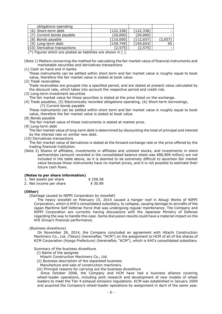| obligations-operating          |           |            |       |
|--------------------------------|-----------|------------|-------|
| (6) Short-term debt            | [122,338] | [122, 338] |       |
| (7) Current bonds payable      | [20,000]  | [20,000]   |       |
| (8) Bonds payable              | [110,000] | [112,657   | (2,65 |
| (9) Long-term debt             | [159,749] | [159, 654] | 95    |
| $(10)$ Derivative transactions | [2.575]   | [2,575]    |       |

 $(*)$  Figures which are posted as liabilities are shown in  $[$ ].

- (Note 1) Matters concerning the method for calculating the fair market value of financial instruments and marketable securities and derivatives transactions
- (1) Cash on hand and in banks

These instruments can be settled within short term and fair market value is roughly equal to book value, therefore the fair market value is stated at book value.

(2) Trade receivables

Trade receivables are grouped into a specified period, and are stated at present value calculated by the discount rate, which takes into account the respective period and credit risk.

(3) Long-term investment securities

The fair market value for these securities is stated at the price listed on the exchange.

(4) Trade payables, (5) Electronically recorded obligations-operating, (6) Short-term borrowings, (7) Current bonds payable

These instruments can be settled within short term and fair market value is roughly equal to book value, therefore the fair market value is stated at book value.

(8) Bonds payable

The fair market value of these instruments is stated at market price.

(9) Long-term debt

The fair market value of long-term debt is determined by discounting the total of principal and interest by the interest rate on similar new debt.

(10) Derivatives transactions

The fair market value of derivatives is stated at the forward exchange rate or the price offered by the trading financial institution.

(Note 2) Shares of affiliates, investments in affiliates and unlisted stocks, and investments in silent partnerships (amount recorded in the consolidated balance sheet was ¥86,909 million) are not included in the table above, as it is deemed to be extremely difficult to ascertain fair market value because those instruments have no market prices, and it is not possible to estimate their future cash flows.

#### **(Notes to per share information)**

- 1. Net assets per share  $\frac{1}{258.58}$
- 2. Net income per share  $\frac{4}{30.89}$

#### **(Other)**

(Damage caused to NIPPI Corporation by snowfall)

The heavy snowfall on February 15, 2014 caused a hanger roof in Atsugi Works of NIPPI Corporation, which is KHI's consolidated subsidiary, to collapse, causing damage to aircrafts of the Japan Maritime Self Defense Force that was undergoing regular maintenance. The Company and NIPPI Corporation are currently having discussions with the Japanese Ministry of Defense regarding the way to handle this case. Some discussion results could have a material impact on the KHI Group's financial performance.

(Business divestiture)

On November 28, 2014, the Company concluded an agreement with Hitachi Construction Machinery Co., Ltd. (Tokyo) (hereinafter, "HCM") on the assignment to HCM of all of the shares of KCM Corporation (Hyogo Prefecture) (hereinafter, "KCM"), which is KHI's consolidated subsidiary.

Summary of the business divestiture

- (i) Name of the assignee
	- Hitachi Construction Machinery Co., Ltd.
- (ii) Business description of the separated business
- Manufacture and sale of construction machinery
- (iii) Principal reasons for carrying out the business divestiture

Since October 2008, the Company and HCM have had a business alliance covering wheel-loader operations, including joint research and development of new models of wheel loaders to meet the Tier 4 exhaust emission regulations. KCM was established in January 2009 and acquired the Company's wheel-loader operations by assignment in April of the same year.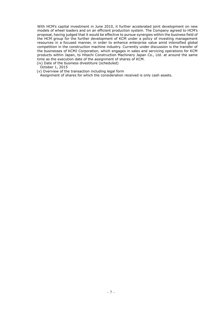With HCM's capital investment in June 2010, it further accelerated joint development on new models of wheel loaders and on an efficient production system. The Company agreed to HCM's proposal, having judged that it would be effective to pursue synergies within the business field of the HCM group for the further development of KCM under a policy of investing management resources in a focused manner, in order to enhance enterprise value amid intensified global competition in the construction machine industry. Currently under discussion is the transfer of the businesses of KCMJ Corporation, which engages in sales and servicing operations for KCM products within Japan, to Hitachi Construction Machinery Japan Co., Ltd. at around the same time as the execution date of the assignment of shares of KCM.

(iv) Date of the business divestiture (scheduled)

October 1, 2015

(v) Overview of the transaction including legal form

Assignment of shares for which the consideration received is only cash assets.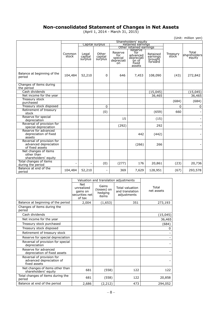# **Non-consolidated Statement of Changes in Net Assets**

(April 1, 2014 - March 31, 2015)

| (Unit: million yen)                                                   |                                                                 |                             |                             |                                               |                                                           |                                            |                   |                                 |
|-----------------------------------------------------------------------|-----------------------------------------------------------------|-----------------------------|-----------------------------|-----------------------------------------------|-----------------------------------------------------------|--------------------------------------------|-------------------|---------------------------------|
|                                                                       | Shareholders' equity                                            |                             |                             |                                               |                                                           |                                            |                   |                                 |
|                                                                       | Capital surplus<br>Retained earnings<br>Other retained earnings |                             |                             |                                               |                                                           |                                            |                   |                                 |
|                                                                       |                                                                 |                             |                             |                                               | Reserve                                                   |                                            |                   |                                 |
|                                                                       | Common<br>stock                                                 | Legal<br>capital<br>surplus | Other<br>capital<br>surplus | Reserve<br>for<br>special<br>depreciati<br>on | for<br>advanced<br>depreciati<br>on of<br>fixed<br>assets | Retained<br>earnings<br>brought<br>forward | Treasury<br>stock | Total<br>shareholders<br>equity |
| Balance at beginning of the<br>period                                 | 104,484                                                         | 52,210                      | 0                           | 646                                           | 7,453                                                     | 108,090                                    | (43)              | 272,842                         |
| Changes of items during<br>the period                                 |                                                                 |                             |                             |                                               |                                                           |                                            |                   |                                 |
| Cash dividends                                                        |                                                                 |                             |                             |                                               |                                                           | (15,045)                                   |                   | (15,045)                        |
| Net income for the year                                               |                                                                 |                             |                             |                                               |                                                           | 36,465                                     |                   | 36,465                          |
| Treasury stock<br>purchased                                           |                                                                 |                             |                             |                                               |                                                           |                                            | (684)             | (684)                           |
| Treasury stock disposed                                               |                                                                 |                             | 0                           |                                               |                                                           |                                            | 0                 | 0                               |
| Retirement of treasury<br>stock                                       |                                                                 |                             | (0)                         |                                               |                                                           | (659)                                      | 660               |                                 |
| Reserve for special<br>depreciation                                   |                                                                 |                             |                             | 15                                            |                                                           | (15)                                       |                   |                                 |
| Reversal of provision for<br>special depreciation                     |                                                                 |                             |                             | (292)                                         |                                                           | 292                                        |                   |                                 |
| Reserve for advanced<br>depreciation of fixed<br>assets               |                                                                 |                             |                             |                                               | 442                                                       | (442)                                      |                   |                                 |
| Reversal of provision for<br>advanced depreciation<br>of fixed assets |                                                                 |                             |                             |                                               | (266)                                                     | 266                                        |                   |                                 |
| Net changes of items<br>other than<br>shareholders' equity            |                                                                 |                             |                             |                                               |                                                           |                                            |                   |                                 |
| Total changes of items<br>during the period                           |                                                                 |                             | (0)                         | (277)                                         | 176                                                       | 20,861                                     | (23)              | 20,736                          |
| Balance at end of the<br>period                                       | 104,484                                                         | 52,210                      | $\overline{\phantom{0}}$    | 369                                           | 7,629                                                     | 128,951                                    | (67)              | 293,578                         |

|                                                                       |                                                           | Valuation and translation adjustments    |                                                   |                     |
|-----------------------------------------------------------------------|-----------------------------------------------------------|------------------------------------------|---------------------------------------------------|---------------------|
|                                                                       | Net<br>unrealized<br>gains on<br>securities net<br>of tax | Gains<br>(losses) on<br>hedging<br>items | Total valuation<br>and translation<br>adjustments | Total<br>net assets |
| Balance at beginning of the period                                    | 2,004                                                     | (1,653)                                  | 351                                               | 273,193             |
| Changes of items during the<br>period                                 |                                                           |                                          |                                                   |                     |
| Cash dividends                                                        |                                                           |                                          |                                                   | (15, 045)           |
| Net income for the year                                               |                                                           |                                          |                                                   | 36,465              |
| Treasury stock purchased                                              |                                                           |                                          |                                                   | (684)               |
| Treasury stock disposed                                               |                                                           |                                          |                                                   | 0                   |
| Retirement of treasury stock                                          |                                                           |                                          |                                                   |                     |
| Reserve for special depreciation                                      |                                                           |                                          |                                                   |                     |
| Reversal of provision for special<br>depreciation                     |                                                           |                                          |                                                   |                     |
| Reserve for advanced<br>depreciation of fixed assets                  |                                                           |                                          |                                                   |                     |
| Reversal of provision for<br>advanced depreciation of<br>fixed assets |                                                           |                                          |                                                   |                     |
| Net changes of items other than<br>shareholders' equity               | 681                                                       | (558)                                    | 122                                               | 122                 |
| Total changes of items during the<br>period                           | 681                                                       | (558)                                    | 122                                               | 20,858              |
| Balance at end of the period                                          | 2,686                                                     | (2,212)                                  | 473                                               | 294,052             |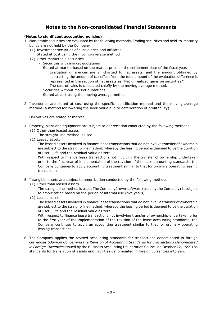# **Notes to the Non-consolidated Financial Statements**

## **(Notes to significant accounting policies)**

- 1. Marketable securities are evaluated by the following methods. Trading securities and held-to-maturity bonds are not held by the Company.
	- (1) Investment securities of subsidiaries and affiliates
		- Stated at cost using the moving-average method
	- (2) Other marketable securities
		- ・ Securities with market quotations
			- Stated at market based on the market price on the settlement date of the fiscal year. Evaluation differences are all charged to net assets, and the amount obtained by subtracting the amount of tax effect from the total amount of the evaluation difference is represented in the section of net assets as "Net unrealized gains on securities." The cost of sales is calculated chiefly by the moving average method.
			- ・ Securities without market quotations Stated at cost using the moving average method
- 2. Inventories are stated at cost using the specific identification method and the moving-average method (a method for lowering the book value due to deterioration of profitability)
- 3. Derivatives are stated at market
- 4. Property, plant and equipment are subject to depreciation conducted by the following methods: (1) Other than leased assets
	- The straight line method is used.
	- (2) Leased assets

The leased assets involved in finance lease transactions that do not involve transfer of ownership are subject to the straight-line method, whereby the leasing period is deemed to be the duration of useful life and the residual value as zero.

With respect to finance lease transactions not involving the transfer of ownership undertaken prior to the first year of implementation of the revision of the lease accounting standards, the Company continues to apply accounting treatment similar to that for ordinary operating leasing transactions.

- 5. Intangible assets are subject to amortization conducted by the following methods:
	- (1) Other than leased assets
		- The straight line method is used. The Company's own software (used by the Company) is subject to amortization based on the period of internal use (five years).
		- (2) Leased assets

The leased assets involved in finance lease transactions that do not involve transfer of ownership are subject to the straight-line method, whereby the leasing period is deemed to be the duration of useful life and the residual value as zero.

With respect to finance lease transactions not involving transfer of ownership undertaken prior to the first year of the implementation of the revision of the lease accounting standards, the Company continues to apply an accounting treatment similar to that for ordinary operating leasing transactions.

6. The Company applies the revised accounting standards for transactions denominated in foreign currencies (*Opinion Concerning the Revision of Accounting Standards for Transactions Denominated in Foreign Currencies* issued by the Business Accounting Deliberation Council on October 22, 1999) as standards for translation of assets and liabilities denominated in foreign currencies into yen.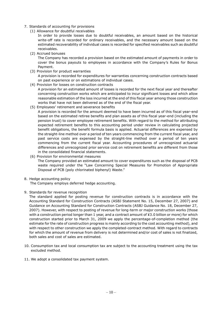- 7. Standards of accounting for provisions
	- (1) Allowance for doubtful receivables
		- In order to provide losses due to doubtful receivables, an amount based on the historical write-off rate is recorded for ordinary receivables, and the necessary amount based on the estimated recoverability of individual cases is recorded for specified receivables such as doubtful receivables.
	- (2) Accrued bonuses

The Company has recorded a provision based on the estimated amount of payments in order to cover the bonus payouts to employees in accordance with the Company's Rules for Bonus Payment.

(3) Provision for product warranties

A provision is recorded for expenditures for warranties concerning construction contracts based on past experience or on estimations of individual cases.

(4) Provision for losses on construction contracts

A provision for an estimated amount of losses is recorded for the next fiscal year and thereafter concerning construction works which are anticipated to incur significant losses and which allow reasonable estimation of the loss incurred at the end of this fiscal year among those construction works that have not been delivered as of the end of the fiscal year.

(5) Employees' retirement and severance benefits

A provision is recorded for the amount deemed to have been incurred as of this fiscal year-end based on the estimated retiree benefits and plan assets as of this fiscal year-end (including the pension trust) to cover employee retirement benefits. With regard to the method for attributing expected retirement benefits to this accounting period under review in calculating projected benefit obligations, the benefit formula basis is applied. Actuarial differences are expensed by the straight-line method over a period of ten years commencing from the current fiscal year, and past service costs are expensed by the straight-line method over a period of ten years commencing from the current fiscal year. Accounting procedures of unrecognized actuarial differences and unrecognized prior service cost on retirement benefits are different from those in the consolidated financial statements.

- (6) Provision for environmental measures The Company provided an estimated amount to cover expenditures such as the disposal of PCB waste required under the "Law Concerning Special Measures for Promotion of Appropriate Disposal of PCB (poly chlorinated biphenyl) Waste."
- 8. Hedge accounting policy

The Company employs deferred hedge accounting.

9. Standards for revenue recognition

The standard applied for posting revenue for construction contracts is in accordance with the Accounting Standard for Construction Contracts (ASBJ Statement No. 15, December 27, 2007) and Guidance on Accounting Standard for Construction Contracts (ASBJ Guidance No. 18, December 27, 2007). However, with respect to posting of revenue for long-term or major construction works (those with a construction period longer than 1 year, and a contract amount of ¥3.0 billion or more) for which construction started prior to March 31, 2009 we apply the percentage-of-completion method (the estimate for the rate of construction progress is mainly according to the cost accounting method), and with respect to other construction we apply the completed-contract method. With regard to contracts for which the amount of revenue from delivery is not determined and/or cost of sales is not finalized, both sales and cost of sales are estimated.

- 10. Consumption tax and local consumption tax are subject to the accounting treatment using the tax excluded method.
- 11. We adopt a consolidated tax payment system.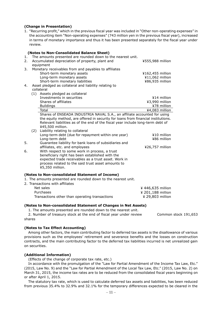#### **(Change in Presentation)**

1. "Recurring profit," which in the previous fiscal year was included in "Other non-operating expenses" in the accounting item "Non-operating expenses" (743 million yen in the previous fiscal year), increased in terms of monetary importance and thus it has been presented separately for the fiscal year under review.

|          |     | (Notes to Non-Consolidated Balance Sheet)                                                                                                                            |                  |
|----------|-----|----------------------------------------------------------------------------------------------------------------------------------------------------------------------|------------------|
| 1.<br>2. |     | The amounts presented are rounded down to the nearest unit.<br>Accumulated depreciation of property, plant and                                                       | ¥555,988 million |
|          |     | equipment                                                                                                                                                            |                  |
| 3.       |     | Monetary receivables from and payables to affiliates                                                                                                                 |                  |
|          |     | Short-term monetary assets                                                                                                                                           | ¥162,455 million |
|          |     | Long-term monetary assets                                                                                                                                            | ¥11,062 million  |
|          |     | Short-term monetary liabilities                                                                                                                                      | ¥86,935 million  |
| 4.       |     | Asset pledged as collateral and liability relating to                                                                                                                |                  |
|          |     | collateral                                                                                                                                                           |                  |
|          |     | (1) Assets pledged as collateral                                                                                                                                     |                  |
|          |     | Investments in securities                                                                                                                                            | $414$ million    |
|          |     | Shares of affiliates                                                                                                                                                 | ¥3,990 million   |
|          |     | <b>Buildings</b>                                                                                                                                                     | ¥78 million      |
|          |     | Total                                                                                                                                                                | ¥4,083 million   |
|          |     | Shares of ENSEADA INDUSTRIA NAVAL S.A., an affiliate accounted for using                                                                                             |                  |
|          |     | the equity method, are offered in security for loans from financial institutions.<br>Relevant liabilities as of the end of the fiscal year include long-term debt of |                  |
|          |     | ¥45,500 million.                                                                                                                                                     |                  |
|          | (2) | Liability relating to collateral                                                                                                                                     |                  |
|          |     | Long-term debt (due for repayment within one year)                                                                                                                   | $410$ million    |
|          |     | Long-term debt                                                                                                                                                       | ¥86 million      |
| 5.       |     | Guarantee liability for bank loans of subsidiaries and                                                                                                               |                  |
|          |     | affiliates, etc. and employees                                                                                                                                       | ¥26,757 million  |
| 6.       |     | With respect to some work in process, a trust                                                                                                                        |                  |
|          |     | beneficiary right has been established with the                                                                                                                      |                  |
|          |     | expected trade receivables as a trust asset. Work in                                                                                                                 |                  |
|          |     | process related to the said trust asset amounts to                                                                                                                   |                  |
|          |     | ¥5,350 million.                                                                                                                                                      |                  |
|          |     |                                                                                                                                                                      |                  |
|          |     | (Notes to Non-consolidated Statement of Income)                                                                                                                      |                  |
|          |     | 1. The amounts presented are rounded down to the nearest unit.<br>2. Transactions with affiliates                                                                    |                  |
|          |     | Net sales                                                                                                                                                            | ¥446,635 million |

Net sales ¥ 446,635 million Purchases **All 201,188 million All 201,188 million** Transactions other than operating transactions **Example 29,803** million

#### **(Notes to Non-consolidated Statement of Changes in Net Assets)**

1. The amounts presented are rounded down to the nearest unit.

2. Number of treasury stock at the end of fiscal year under review Common stock 191,653 shares

#### **(Notes to Tax Effect Accounting)**

Among other factors, the main contributing factor to deferred tax assets is the disallowance of various provisions such as the employees' retirement and severance benefits and the losses on construction contracts, and the main contributing factor to the deferred tax liabilities incurred is net unrealized gain on securities.

#### **(Additional Information)**

(Effects of the change of corporate tax rate, etc.)

In accordance with the promulgation of the "Law for Partial Amendment of the Income Tax Law, Etc." (2015, Law No. 9) and the "Law for Partial Amendment of the Local Tax Law, Etc." (2015, Law No. 2) on March 31, 2015, the income tax rates are to be reduced from the consolidated fiscal years beginning on or after April 1, 2015.

The statutory tax rate, which is used to calculate deferred tax assets and liabilities, has been reduced from previous 35.4% to 32.9% and 32.1% for the temporary differences expected to be cleared in the